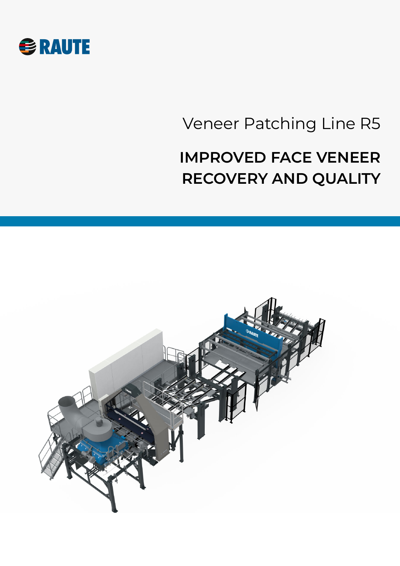

# Veneer Patching Line R5

## **IMPROVED FACE VENEER RECOVERY AND QUALITY**

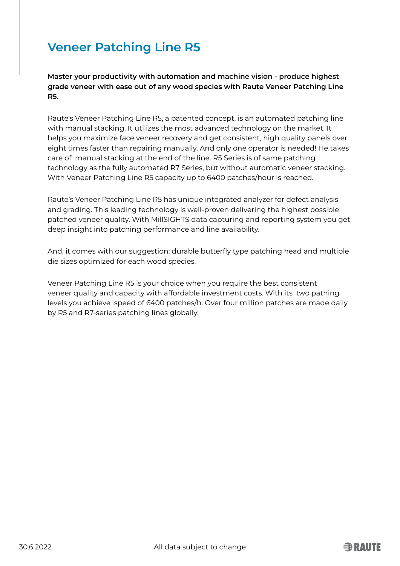## **Veneer Patching Line R5**

**Master your productivity with automation and machine vision - produce highest grade veneer with ease out of any wood species with Raute Veneer Patching Line R5.**

Raute's Veneer Patching Line R5, a patented concept, is an automated patching line with manual stacking. It utilizes the most advanced technology on the market. It helps you maximize face veneer recovery and get consistent, high quality panels over eight times faster than repairing manually. And only one operator is needed! He takes care of manual stacking at the end of the line. R5 Series is of same patching technology as the fully automated R7 Series, but without automatic veneer stacking. With Veneer Patching Line R5 capacity up to 6400 patches/hour is reached.

Raute's Veneer Patching Line R5 has unique integrated analyzer for defect analysis and grading. This leading technology is well-proven delivering the highest possible patched veneer quality. With MillSIGHTS data capturing and reporting system you get deep insight into patching performance and line availability.

And, it comes with our suggestion: durable butterfly type patching head and multiple die sizes optimized for each wood species.

Veneer Patching Line R5 is your choice when you require the best consistent veneer quality and capacity with affordable investment costs. With its two pathing levels you achieve speed of 6400 patches/h. Over four million patches are made daily by R5 and R7-series patching lines globally.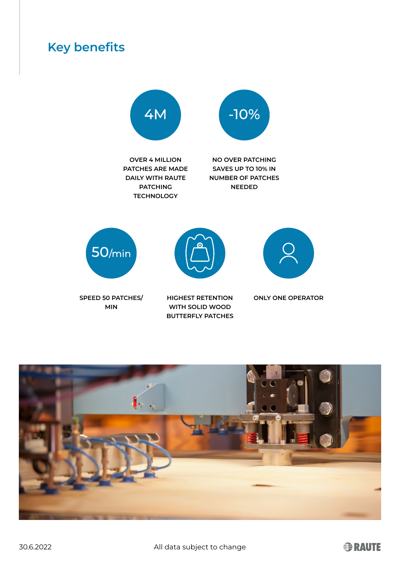## **Key benefits**



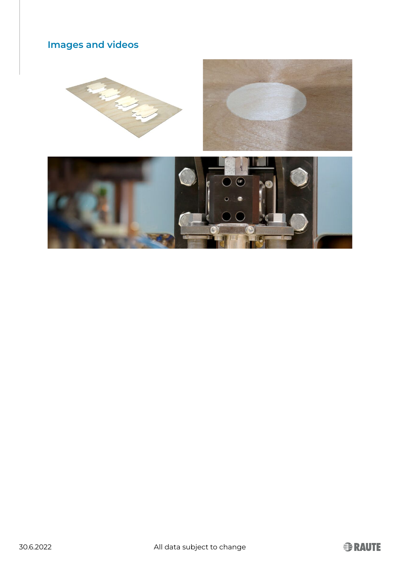### **Images and videos**

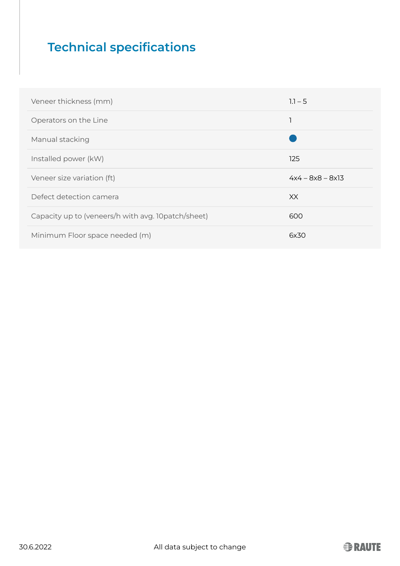## **Technical specifications**

| Veneer thickness (mm)                              | $1.1 - 5$          |
|----------------------------------------------------|--------------------|
| Operators on the Line                              |                    |
| Manual stacking                                    |                    |
| Installed power (kW)                               | 125                |
|                                                    |                    |
| Veneer size variation (ft)                         | $4x4 - 8x8 - 8x13$ |
| Defect detection camera                            | XX.                |
| Capacity up to (veneers/h with avg. 10patch/sheet) | 600                |